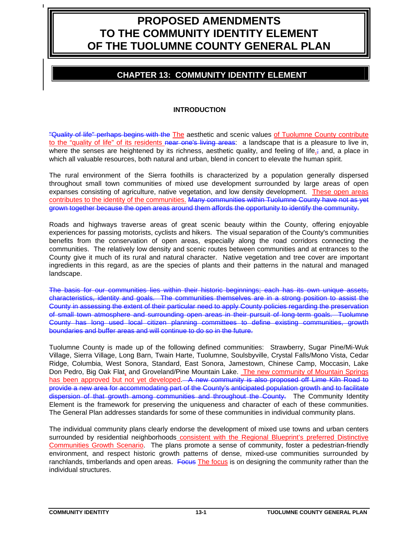# **PROPOSED AMENDMENTS TO THE COMMUNITY IDENTITY ELEMENT OF THE TUOLUMNE COUNTY GENERAL PLAN**

# **CHAPTER 13: COMMUNITY IDENTITY ELEMENT**

# **INTRODUCTION**

"Quality of life" perhaps begins with the The aesthetic and scenic values of Tuolumne County contribute to the "quality of life" of its residents near one's living areas: a landscape that is a pleasure to live in, where the senses are heightened by its richness, aesthetic quality, and feeling of life, and, a place in which all valuable resources, both natural and urban, blend in concert to elevate the human spirit.

The rural environment of the Sierra foothills is characterized by a population generally dispersed throughout small town communities of mixed use development surrounded by large areas of open expanses consisting of agriculture, native vegetation, and low density development. These open areas contributes to the identity of the communities. Many communities within Tuolumne County have not as yet grown together because the open areas around them affords the opportunity to identify the community.

Roads and highways traverse areas of great scenic beauty within the County, offering enjoyable experiences for passing motorists, cyclists and hikers. The visual separation of the County's communities benefits from the conservation of open areas, especially along the road corridors connecting the communities. The relatively low density and scenic routes between communities and at entrances to the County give it much of its rural and natural character. Native vegetation and tree cover are important ingredients in this regard, as are the species of plants and their patterns in the natural and managed landscape.

The basis for our communities lies within their historic beginnings; each has its own unique assets, characteristics, identity and goals. The communities themselves are in a strong position to assist the County in assessing the extent of their particular need to apply County policies regarding the preservation of small town atmosphere and surrounding open areas in their pursuit of long-term goals. Tuolumne County has long used local citizen planning committees to define existing communities, growth boundaries and buffer areas and will continue to do so in the future.

Tuolumne County is made up of the following defined communities: Strawberry, Sugar Pine/Mi-Wuk Village, Sierra Village, Long Barn, Twain Harte, Tuolumne, Soulsbyville, Crystal Falls/Mono Vista, Cedar Ridge, Columbia, West Sonora, Standard, East Sonora, Jamestown, Chinese Camp, Moccasin, Lake Don Pedro, Big Oak Flat, and Groveland/Pine Mountain Lake. The new community of Mountain Springs has been approved but not yet developed - A new community is also proposed off Lime Kiln Road to provide a new area for accommodating part of the County's anticipated population growth and to facilitate dispersion of that growth among communities and throughout the County. The Community Identity Element is the framework for preserving the uniqueness and character of each of these communities. The General Plan addresses standards for some of these communities in individual community plans.

The individual community plans clearly endorse the development of mixed use towns and urban centers surrounded by residential neighborhoods consistent with the Regional Blueprint's preferred Distinctive Communities Growth Scenario. The plans promote a sense of community, foster a pedestrian-friendly environment, and respect historic growth patterns of dense, mixed-use communities surrounded by ranchlands, timberlands and open areas. Focus The focus is on designing the community rather than the individual structures.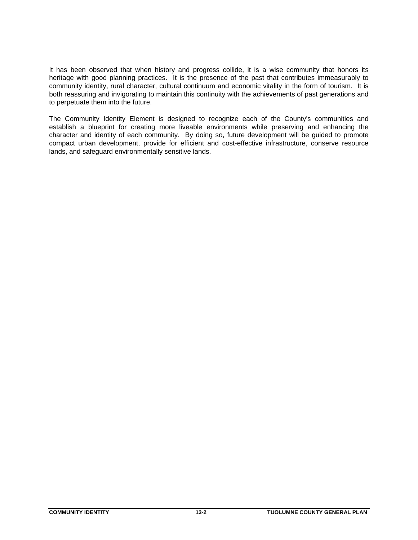It has been observed that when history and progress collide, it is a wise community that honors its heritage with good planning practices. It is the presence of the past that contributes immeasurably to community identity, rural character, cultural continuum and economic vitality in the form of tourism. It is both reassuring and invigorating to maintain this continuity with the achievements of past generations and to perpetuate them into the future.

The Community Identity Element is designed to recognize each of the County's communities and establish a blueprint for creating more liveable environments while preserving and enhancing the character and identity of each community. By doing so, future development will be guided to promote compact urban development, provide for efficient and cost-effective infrastructure, conserve resource lands, and safeguard environmentally sensitive lands.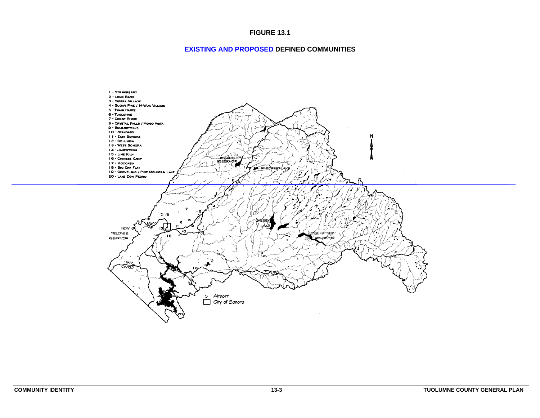#### **FIGURE 13.1**

#### **EXISTING AND PROPOSED DEFINED COMMUNITIES**

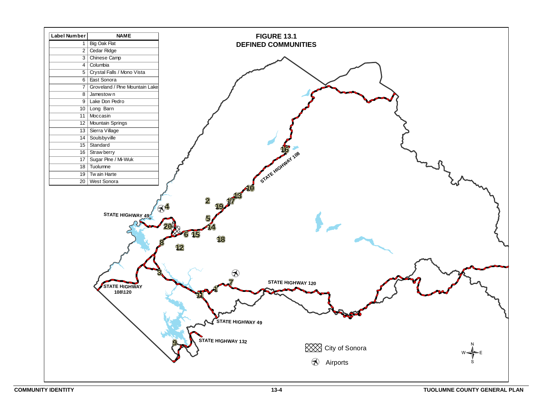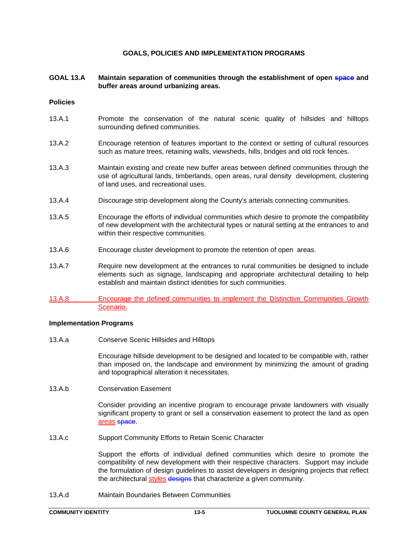# **GOALS, POLICIES AND IMPLEMENTATION PROGRAMS**

# GOAL 13.A Maintain separation of communities through the establishment of open space and **buffer areas around urbanizing areas.**

#### **Policies**

- 13.A.1 Promote the conservation of the natural scenic quality of hillsides and hilltops surrounding defined communities.
- 13.A.2 Encourage retention of features important to the context or setting of cultural resources such as mature trees, retaining walls, viewsheds, hills, bridges and old rock fences.
- 13.A.3 Maintain existing and create new buffer areas between defined communities through the use of agricultural lands, timberlands, open areas, rural density development, clustering of land uses, and recreational uses.
- 13.A.4 Discourage strip development along the County's arterials connecting communities.
- 13.A.5 Encourage the efforts of individual communities which desire to promote the compatibility of new development with the architectural types or natural setting at the entrances to and within their respective communities.
- 13.A.6 Encourage cluster development to promote the retention of open areas.
- 13.A.7 Require new development at the entrances to rural communities be designed to include elements such as signage, landscaping and appropriate architectural detailing to help establish and maintain distinct identities for such communities.
- 13.A.8 Encourage the defined communities to implement the Distinctive Communities Growth Scenario.

# **Implementation Programs**

13.A.a Conserve Scenic Hillsides and Hilltops

Encourage hillside development to be designed and located to be compatible with, rather than imposed on, the landscape and environment by minimizing the amount of grading and topographical alteration it necessitates.

13.A.b Conservation Easement

Consider providing an incentive program to encourage private landowners with visually significant property to grant or sell a conservation easement to protect the land as open areas space.

13.A.c Support Community Efforts to Retain Scenic Character

Support the efforts of individual defined communities which desire to promote the compatibility of new development with their respective characters. Support may include the formulation of design guidelines to assist developers in designing projects that reflect the architectural styles designs that characterize a given community.

13.A.d Maintain Boundaries Between Communities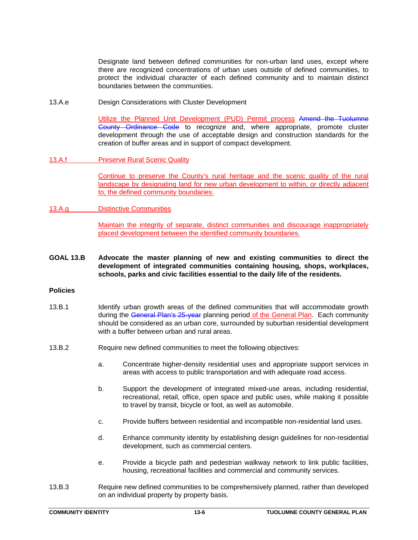Designate land between defined communities for non-urban land uses, except where there are recognized concentrations of urban uses outside of defined communities, to protect the individual character of each defined community and to maintain distinct boundaries between the communities.

13.A.e Design Considerations with Cluster Development

Utilize the Planned Unit Development (PUD) Permit process Amend the Tuolumne Gounty Ordinance Code to recognize and, where appropriate, promote cluster development through the use of acceptable design and construction standards for the creation of buffer areas and in support of compact development.

13.A.f Preserve Rural Scenic Quality

Continue to preserve the County's rural heritage and the scenic quality of the rural landscape by designating land for new urban development to within, or directly adjacent to, the defined community boundaries.

13.A.g Distinctive Communities

Maintain the integrity of separate, distinct communities and discourage inappropriately placed development between the identified community boundaries.

**GOAL 13.B Advocate the master planning of new and existing communities to direct the development of integrated communities containing housing, shops, workplaces, schools, parks and civic facilities essential to the daily life of the residents.** 

# **Policies**

- 13.B.1 Identify urban growth areas of the defined communities that will accommodate growth during the General Plan's 25-year planning period of the General Plan. Each community should be considered as an urban core, surrounded by suburban residential development with a buffer between urban and rural areas.
- 13.B.2 Require new defined communities to meet the following objectives:
	- a. Concentrate higher-density residential uses and appropriate support services in areas with access to public transportation and with adequate road access.
	- b. Support the development of integrated mixed-use areas, including residential, recreational, retail, office, open space and public uses, while making it possible to travel by transit, bicycle or foot, as well as automobile.
	- c. Provide buffers between residential and incompatible non-residential land uses.
	- d. Enhance community identity by establishing design guidelines for non-residential development, such as commercial centers.
	- e. Provide a bicycle path and pedestrian walkway network to link public facilities, housing, recreational facilities and commercial and community services.
- 13.B.3 Require new defined communities to be comprehensively planned, rather than developed on an individual property by property basis.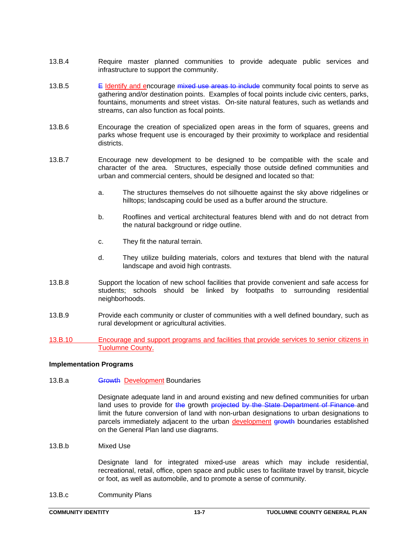- 13.B.4 Require master planned communities to provide adequate public services and infrastructure to support the community.
- 13.B.5 E Identify and encourage mixed use areas to include community focal points to serve as gathering and/or destination points. Examples of focal points include civic centers, parks, fountains, monuments and street vistas. On-site natural features, such as wetlands and streams, can also function as focal points.
- 13.B.6 Encourage the creation of specialized open areas in the form of squares, greens and parks whose frequent use is encouraged by their proximity to workplace and residential districts.
- 13.B.7 Encourage new development to be designed to be compatible with the scale and character of the area. Structures, especially those outside defined communities and urban and commercial centers, should be designed and located so that:
	- a. The structures themselves do not silhouette against the sky above ridgelines or hilltops; landscaping could be used as a buffer around the structure.
	- b. Rooflines and vertical architectural features blend with and do not detract from the natural background or ridge outline.
	- c. They fit the natural terrain.
	- d. They utilize building materials, colors and textures that blend with the natural landscape and avoid high contrasts.
- 13.B.8 Support the location of new school facilities that provide convenient and safe access for students; schools should be linked by footpaths to surrounding residential neighborhoods.
- 13.B.9 Provide each community or cluster of communities with a well defined boundary, such as rural development or agricultural activities.
- 13.B.10 Encourage and support programs and facilities that provide services to senior citizens in Tuolumne County.

# **Implementation Programs**

# 13.B.a **Growth Development Boundaries**

Designate adequate land in and around existing and new defined communities for urban land uses to provide for the growth projected by the State Department of Finance and limit the future conversion of land with non-urban designations to urban designations to parcels immediately adjacent to the urban development growth boundaries established on the General Plan land use diagrams.

13.B.b Mixed Use

Designate land for integrated mixed-use areas which may include residential, recreational, retail, office, open space and public uses to facilitate travel by transit, bicycle or foot, as well as automobile, and to promote a sense of community.

13.B.c Community Plans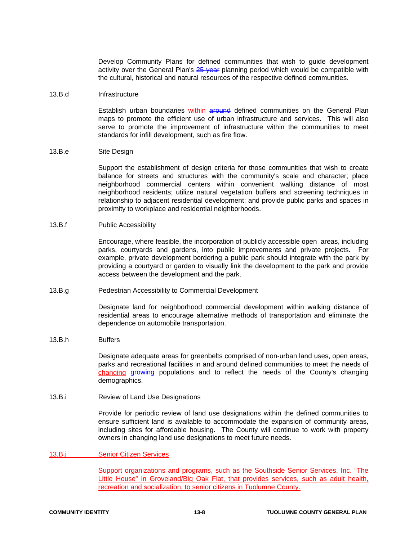Develop Community Plans for defined communities that wish to guide development activity over the General Plan's 25 year planning period which would be compatible with the cultural, historical and natural resources of the respective defined communities.

# 13.B.d Infrastructure

Establish urban boundaries within around defined communities on the General Plan maps to promote the efficient use of urban infrastructure and services. This will also serve to promote the improvement of infrastructure within the communities to meet standards for infill development, such as fire flow.

#### 13.B.e Site Design

Support the establishment of design criteria for those communities that wish to create balance for streets and structures with the community's scale and character; place neighborhood commercial centers within convenient walking distance of most neighborhood residents; utilize natural vegetation buffers and screening techniques in relationship to adjacent residential development; and provide public parks and spaces in proximity to workplace and residential neighborhoods.

#### 13.B.f Public Accessibility

Encourage, where feasible, the incorporation of publicly accessible open areas, including parks, courtyards and gardens, into public improvements and private projects. For example, private development bordering a public park should integrate with the park by providing a courtyard or garden to visually link the development to the park and provide access between the development and the park.

13.B.g Pedestrian Accessibility to Commercial Development

Designate land for neighborhood commercial development within walking distance of residential areas to encourage alternative methods of transportation and eliminate the dependence on automobile transportation.

# 13.B.h Buffers

Designate adequate areas for greenbelts comprised of non-urban land uses, open areas, parks and recreational facilities in and around defined communities to meet the needs of changing growing populations and to reflect the needs of the County's changing demographics.

13.B.i Review of Land Use Designations

Provide for periodic review of land use designations within the defined communities to ensure sufficient land is available to accommodate the expansion of community areas, including sites for affordable housing. The County will continue to work with property owners in changing land use designations to meet future needs.

# 13.B.j Senior Citizen Services

Support organizations and programs, such as the Southside Senior Services, Inc. "The Little House" in Groveland/Big Oak Flat, that provides services, such as adult health, recreation and socialization, to senior citizens in Tuolumne County.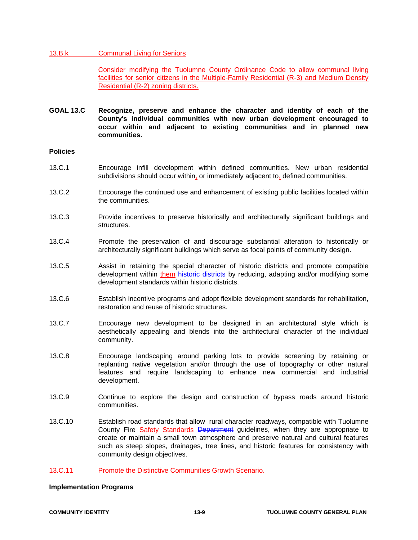# 13.B.k Communal Living for Seniors

Consider modifying the Tuolumne County Ordinance Code to allow communal living facilities for senior citizens in the Multiple-Family Residential (R-3) and Medium Density Residential (R-2) zoning districts.

**GOAL 13.C Recognize, preserve and enhance the character and identity of each of the County's individual communities with new urban development encouraged to occur within and adjacent to existing communities and in planned new communities.** 

# **Policies**

- 13.C.1 Encourage infill development within defined communities. New urban residential subdivisions should occur within, or immediately adjacent to, defined communities.
- 13.C.2 Encourage the continued use and enhancement of existing public facilities located within the communities.
- 13.C.3 Provide incentives to preserve historically and architecturally significant buildings and structures.
- 13.C.4 Promote the preservation of and discourage substantial alteration to historically or architecturally significant buildings which serve as focal points of community design.
- 13.C.5 Assist in retaining the special character of historic districts and promote compatible development within them historic districts by reducing, adapting and/or modifying some development standards within historic districts.
- 13.C.6 Establish incentive programs and adopt flexible development standards for rehabilitation, restoration and reuse of historic structures.
- 13.C.7 Encourage new development to be designed in an architectural style which is aesthetically appealing and blends into the architectural character of the individual community.
- 13.C.8 Encourage landscaping around parking lots to provide screening by retaining or replanting native vegetation and/or through the use of topography or other natural features and require landscaping to enhance new commercial and industrial development.
- 13.C.9 Continue to explore the design and construction of bypass roads around historic communities.
- 13.C.10 Establish road standards that allow rural character roadways, compatible with Tuolumne County Fire Safety Standards Department guidelines, when they are appropriate to create or maintain a small town atmosphere and preserve natural and cultural features such as steep slopes, drainages, tree lines, and historic features for consistency with community design objectives.
- 13.C.11 Promote the Distinctive Communities Growth Scenario.

# **Implementation Programs**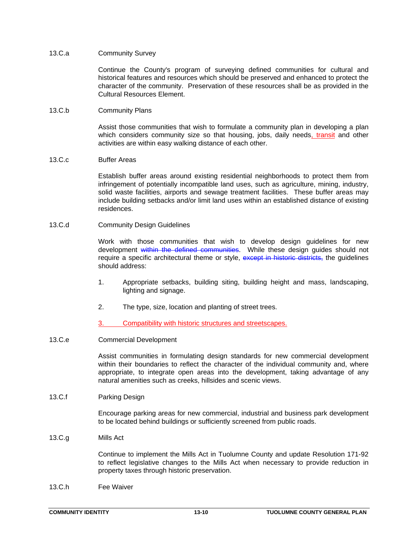# 13.C.a Community Survey

Continue the County's program of surveying defined communities for cultural and historical features and resources which should be preserved and enhanced to protect the character of the community. Preservation of these resources shall be as provided in the Cultural Resources Element.

#### 13.C.b Community Plans

Assist those communities that wish to formulate a community plan in developing a plan which considers community size so that housing, jobs, daily needs, transit and other activities are within easy walking distance of each other.

# 13.C.c Buffer Areas

Establish buffer areas around existing residential neighborhoods to protect them from infringement of potentially incompatible land uses, such as agriculture, mining, industry, solid waste facilities, airports and sewage treatment facilities. These buffer areas may include building setbacks and/or limit land uses within an established distance of existing residences.

#### 13.C.d Community Design Guidelines

Work with those communities that wish to develop design guidelines for new development within the defined communities. While these design guides should not require a specific architectural theme or style, except in historic districts, the guidelines should address:

- 1. Appropriate setbacks, building siting, building height and mass, landscaping, lighting and signage.
- 2. The type, size, location and planting of street trees.
- 3. Compatibility with historic structures and streetscapes.

# 13.C.e Commercial Development

Assist communities in formulating design standards for new commercial development within their boundaries to reflect the character of the individual community and, where appropriate, to integrate open areas into the development, taking advantage of any natural amenities such as creeks, hillsides and scenic views.

# 13.C.f Parking Design

Encourage parking areas for new commercial, industrial and business park development to be located behind buildings or sufficiently screened from public roads.

13.C.g Mills Act

Continue to implement the Mills Act in Tuolumne County and update Resolution 171-92 to reflect legislative changes to the Mills Act when necessary to provide reduction in property taxes through historic preservation.

13.C.h Fee Waiver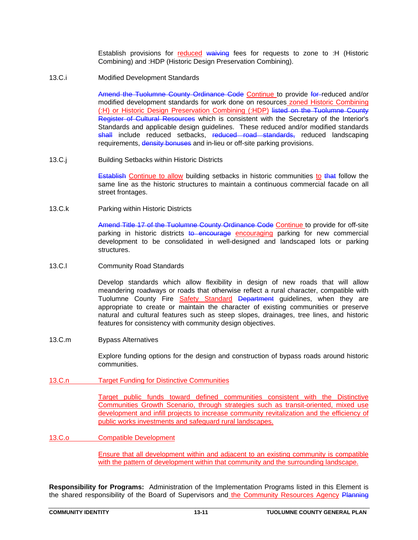Establish provisions for reduced waiving fees for requests to zone to :H (Historic Combining) and :HDP (Historic Design Preservation Combining).

13.C.i Modified Development Standards

Amend the Tuolumne County Ordinance Code Continue to provide for reduced and/or modified development standards for work done on resources zoned Historic Combining (:H) or Historic Design Preservation Combining (:HDP) listed on the Tuolumne County Register of Cultural Resources which is consistent with the Secretary of the Interior's Standards and applicable design guidelines. These reduced and/or modified standards shall include reduced setbacks, reduced road standards, reduced landscaping requirements, density bonuses and in-lieu or off-site parking provisions.

13.C.j Building Setbacks within Historic Districts

**Establish Continue to allow building setbacks in historic communities to that follow the** same line as the historic structures to maintain a continuous commercial facade on all street frontages.

13.C.k Parking within Historic Districts

Amend Title 17 of the Tuolumne County Ordinance Code Continue to provide for off-site parking in historic districts to encourage encouraging parking for new commercial development to be consolidated in well-designed and landscaped lots or parking structures.

13.C.l Community Road Standards

Develop standards which allow flexibility in design of new roads that will allow meandering roadways or roads that otherwise reflect a rural character, compatible with Tuolumne County Fire Safety Standard Department guidelines, when they are appropriate to create or maintain the character of existing communities or preserve natural and cultural features such as steep slopes, drainages, tree lines, and historic features for consistency with community design objectives.

13.C.m Bypass Alternatives

Explore funding options for the design and construction of bypass roads around historic communities.

13.C.n Target Funding for Distinctive Communities

Target public funds toward defined communities consistent with the Distinctive Communities Growth Scenario, through strategies such as transit-oriented, mixed use development and infill projects to increase community revitalization and the efficiency of public works investments and safeguard rural landscapes.

13.C.o Compatible Development

Ensure that all development within and adjacent to an existing community is compatible with the pattern of development within that community and the surrounding landscape.

**Responsibility for Programs:** Administration of the Implementation Programs listed in this Element is the shared responsibility of the Board of Supervisors and the Community Resources Agency Planning